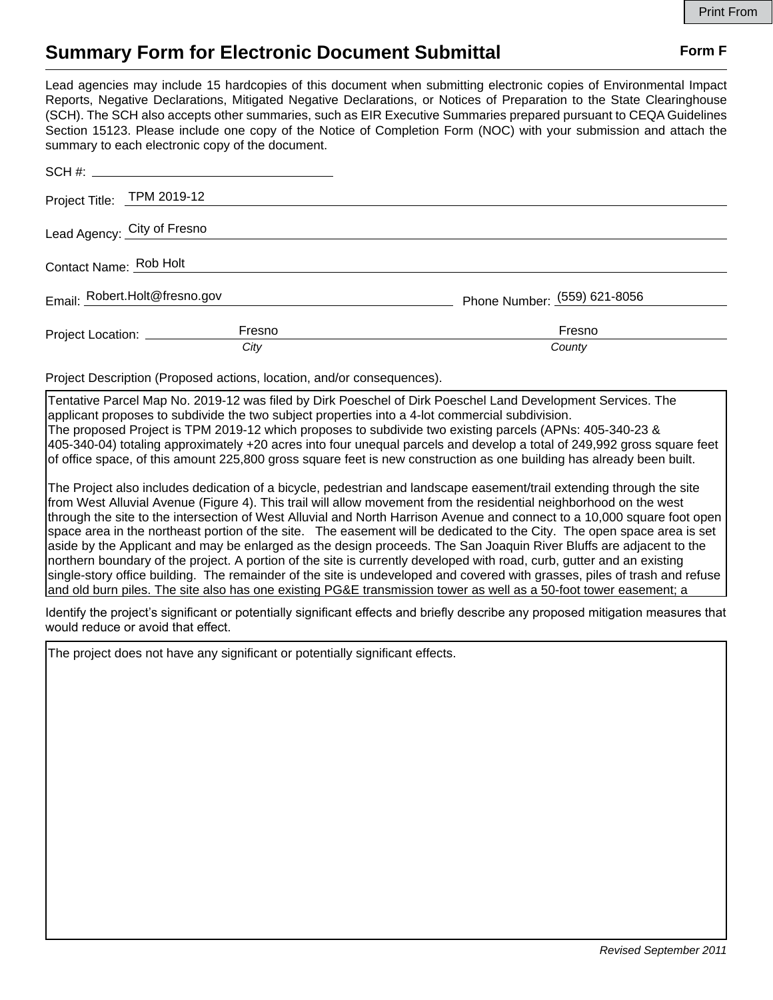## **Summary Form for Electronic Document Submittal Form F Form F**

Lead agencies may include 15 hardcopies of this document when submitting electronic copies of Environmental Impact Reports, Negative Declarations, Mitigated Negative Declarations, or Notices of Preparation to the State Clearinghouse (SCH). The SCH also accepts other summaries, such as EIR Executive Summaries prepared pursuant to CEQA Guidelines Section 15123. Please include one copy of the Notice of Completion Form (NOC) with your submission and attach the summary to each electronic copy of the document.

|                               | Project Title: TPM 2019-12             |                              |
|-------------------------------|----------------------------------------|------------------------------|
|                               | Lead Agency: City of Fresno            |                              |
| Contact Name: Rob Holt        |                                        |                              |
| Email: Robert.Holt@fresno.gov |                                        | Phone Number: (559) 621-8056 |
|                               | Fresno<br>Project Location: __________ | Fresno                       |
|                               | City                                   | County                       |

Project Description (Proposed actions, location, and/or consequences).

Tentative Parcel Map No. 2019-12 was filed by Dirk Poeschel of Dirk Poeschel Land Development Services. The applicant proposes to subdivide the two subject properties into a 4-lot commercial subdivision. The proposed Project is TPM 2019-12 which proposes to subdivide two existing parcels (APNs: 405-340-23 & 405-340-04) totaling approximately +20 acres into four unequal parcels and develop a total of 249,992 gross square feet of office space, of this amount 225,800 gross square feet is new construction as one building has already been built.

The Project also includes dedication of a bicycle, pedestrian and landscape easement/trail extending through the site from West Alluvial Avenue (Figure 4). This trail will allow movement from the residential neighborhood on the west through the site to the intersection of West Alluvial and North Harrison Avenue and connect to a 10,000 square foot open space area in the northeast portion of the site. The easement will be dedicated to the City. The open space area is set aside by the Applicant and may be enlarged as the design proceeds. The San Joaquin River Bluffs are adjacent to the northern boundary of the project. A portion of the site is currently developed with road, curb, gutter and an existing single-story office building. The remainder of the site is undeveloped and covered with grasses, piles of trash and refuse and old burn piles. The site also has one existing PG&E transmission tower as well as a 50-foot tower easement; a

ldentify the project's significant or potentially significant effects and briefly describe any proposed mitigation measures that would reduce or avoid that effect.

The project does not have any significant or potentially significant effects.